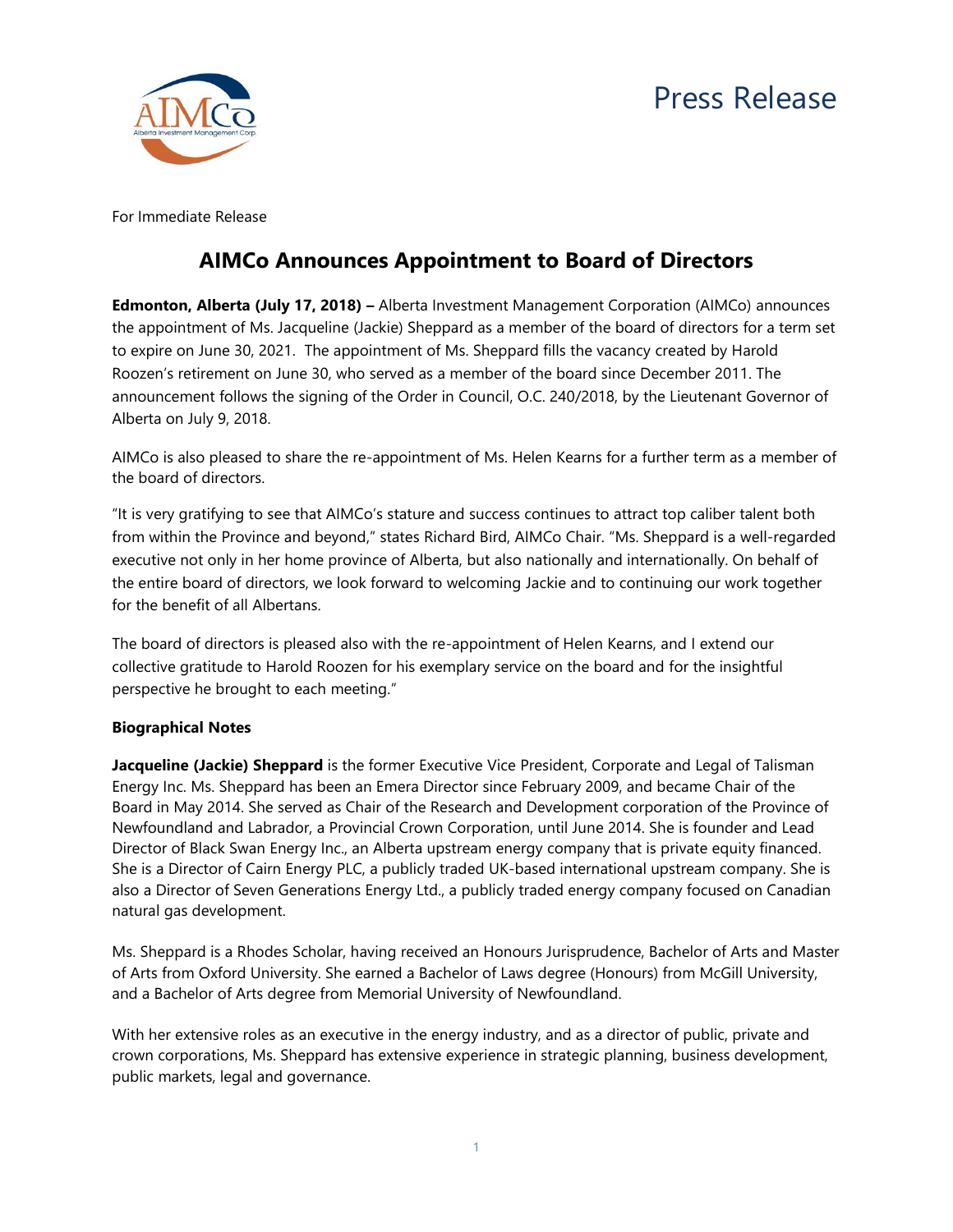



For Immediate Release

## **AIMCo Announces Appointment to Board of Directors**

**Edmonton, Alberta (July 17, 2018) –** Alberta Investment Management Corporation (AIMCo) announces the appointment of Ms. Jacqueline (Jackie) Sheppard as a member of the board of directors for a term set to expire on June 30, 2021. The appointment of Ms. Sheppard fills the vacancy created by Harold Roozen's retirement on June 30, who served as a member of the board since December 2011. The announcement follows the signing of the Order in Council, O.C. 240/2018, by the Lieutenant Governor of Alberta on July 9, 2018.

AIMCo is also pleased to share the re-appointment of Ms. Helen Kearns for a further term as a member of the board of directors.

"It is very gratifying to see that AIMCo's stature and success continues to attract top caliber talent both from within the Province and beyond," states Richard Bird, AIMCo Chair. "Ms. Sheppard is a well-regarded executive not only in her home province of Alberta, but also nationally and internationally. On behalf of the entire board of directors, we look forward to welcoming Jackie and to continuing our work together for the benefit of all Albertans.

The board of directors is pleased also with the re-appointment of Helen Kearns, and I extend our collective gratitude to Harold Roozen for his exemplary service on the board and for the insightful perspective he brought to each meeting."

## **Biographical Notes**

**Jacqueline (Jackie) Sheppard** is the former Executive Vice President, Corporate and Legal of Talisman Energy Inc. Ms. Sheppard has been an Emera Director since February 2009, and became Chair of the Board in May 2014. She served as Chair of the Research and Development corporation of the Province of Newfoundland and Labrador, a Provincial Crown Corporation, until June 2014. She is founder and Lead Director of Black Swan Energy Inc., an Alberta upstream energy company that is private equity financed. She is a Director of Cairn Energy PLC, a publicly traded UK‐based international upstream company. She is also a Director of Seven Generations Energy Ltd., a publicly traded energy company focused on Canadian natural gas development.

Ms. Sheppard is a Rhodes Scholar, having received an Honours Jurisprudence, Bachelor of Arts and Master of Arts from Oxford University. She earned a Bachelor of Laws degree (Honours) from McGill University, and a Bachelor of Arts degree from Memorial University of Newfoundland.

With her extensive roles as an executive in the energy industry, and as a director of public, private and crown corporations, Ms. Sheppard has extensive experience in strategic planning, business development, public markets, legal and governance.